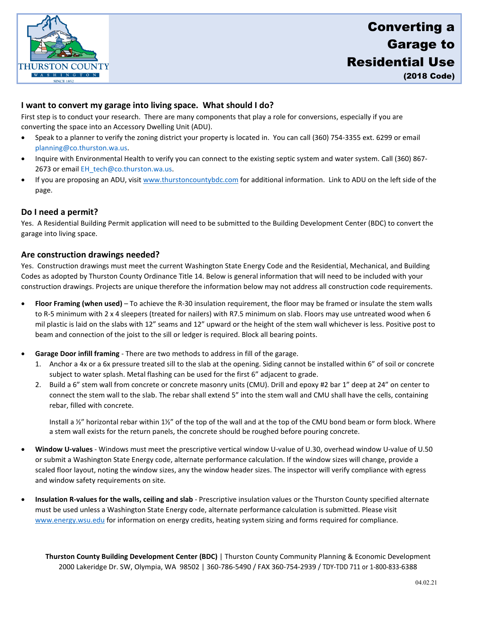

# **I want to convert my garage into living space. What should I do?**

First step is to conduct your research. There are many components that play a role for conversions, especially if you are converting the space into an Accessory Dwelling Unit (ADU).

- Speak to a planner to verify the zoning district your property is located in. You can call (360) 754-3355 ext. 6299 or email [planning@co.thurston.wa.us.](mailto:planning@co.thurston.wa.us)
- Inquire with Environmental Health to verify you can connect to the existing septic system and water system. Call (360) 867- 2673 or email EH\_tech@co.thurston.wa.us.
- If you are proposing an ADU, visi[t www.thurstoncountybdc.com](http://www.thurstoncountybdc.com/) for additional information. Link to ADU on the left side of the page.

## **Do I need a permit?**

Yes. A Residential Building Permit application will need to be submitted to the Building Development Center (BDC) to convert the garage into living space.

## **Are construction drawings needed?**

Yes. Construction drawings must meet the current Washington State Energy Code and the Residential, Mechanical, and Building Codes as adopted by Thurston County Ordinance Title 14. Below is general information that will need to be included with your construction drawings. Projects are unique therefore the information below may not address all construction code requirements.

- **Floor Framing (when used)** To achieve the R-30 insulation requirement, the floor may be framed or insulate the stem walls to R-5 minimum with 2 x 4 sleepers (treated for nailers) with R7.5 minimum on slab. Floors may use untreated wood when 6 mil plastic is laid on the slabs with 12" seams and 12" upward or the height of the stem wall whichever is less. Positive post to beam and connection of the joist to the sill or ledger is required. Block all bearing points.
- **Garage Door infill framing** There are two methods to address in fill of the garage.
	- 1. Anchor a 4x or a 6x pressure treated sill to the slab at the opening. Siding cannot be installed within 6" of soil or concrete subject to water splash. Metal flashing can be used for the first 6" adjacent to grade.
	- 2. Build a 6" stem wall from concrete or concrete masonry units (CMU). Drill and epoxy #2 bar 1" deep at 24" on center to connect the stem wall to the slab. The rebar shall extend 5" into the stem wall and CMU shall have the cells, containing rebar, filled with concrete.

Install a  $\frac{1}{2}$ " horizontal rebar within 1½" of the top of the wall and at the top of the CMU bond beam or form block. Where a stem wall exists for the return panels, the concrete should be roughed before pouring concrete.

- **Window U-values** Windows must meet the prescriptive vertical window U-value of U.30, overhead window U-value of U.50 or submit a Washington State Energy code, alternate performance calculation. If the window sizes will change, provide a scaled floor layout, noting the window sizes, any the window header sizes. The inspector will verify compliance with egress and window safety requirements on site.
- **Insulation R-values for the walls, ceiling and slab** Prescriptive insulation values or the Thurston County specified alternate must be used unless a Washington State Energy code, alternate performance calculation is submitted. Please visit [www.energy.wsu.edu](http://www.energy.wsu.edu/) for information on energy credits, heating system sizing and forms required for compliance.

**Thurston County Building Development Center (BDC)** | Thurston County Community Planning & Economic Development 2000 Lakeridge Dr. SW, Olympia, WA 98502 | 360-786-5490 / FAX 360-754-2939 / TDY-TDD 711 or 1-800-833-6388